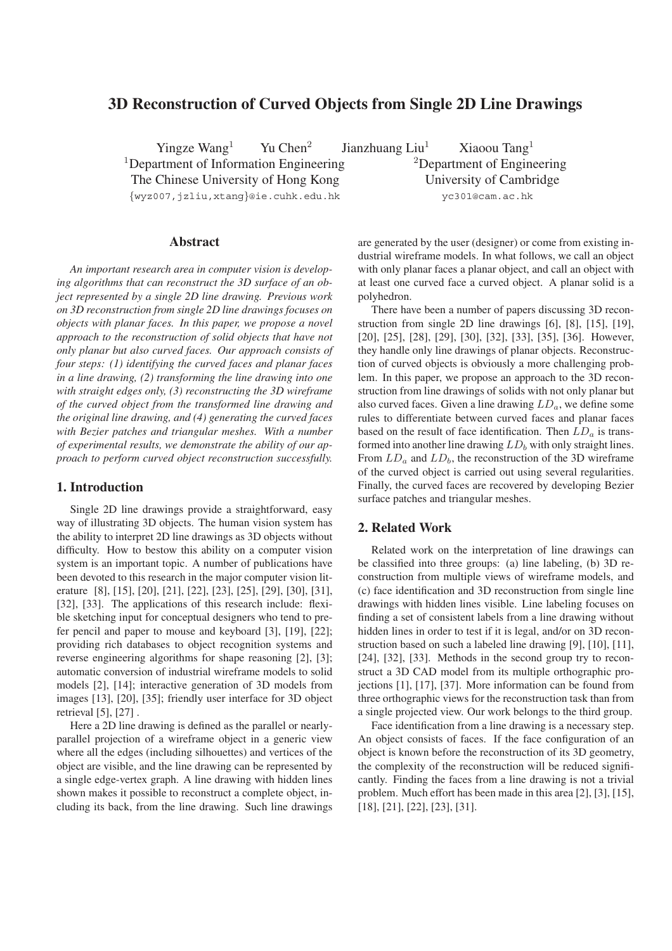# **3D Reconstruction of Curved Objects from Single 2D Line Drawings**

Yingze Wang<sup>1</sup> Yu Chen<sup>2</sup> Jianzhuang Liu<sup>1</sup> Xiaoou Tang<sup>1</sup>  $1$ Department of Information Engineering  $2$ Department of Engineering The Chinese University of Hong Kong University of Cambridge

# **Abstract**

*An important research area in computer vision is developing algorithms that can reconstruct the 3D surface of an object represented by a single 2D line drawing. Previous work on 3D reconstruction from single 2D line drawings focuses on objects with planar faces. In this paper, we propose a novel approach to the reconstruction of solid objects that have not only planar but also curved faces. Our approach consists of four steps: (1) identifying the curved faces and planar faces in a line drawing, (2) transforming the line drawing into one with straight edges only, (3) reconstructing the 3D wireframe of the curved object from the transformed line drawing and the original line drawing, and (4) generating the curved faces with Bezier patches and triangular meshes. With a number of experimental results, we demonstrate the ability of our approach to perform curved object reconstruction successfully.*

## **1. Introduction**

Single 2D line drawings provide a straightforward, easy way of illustrating 3D objects. The human vision system has the ability to interpret 2D line drawings as 3D objects without difficulty. How to bestow this ability on a computer vision system is an important topic. A number of publications have been devoted to this research in the major computer vision literature [8], [15], [20], [21], [22], [23], [25], [29], [30], [31], [32], [33]. The applications of this research include: flexible sketching input for conceptual designers who tend to prefer pencil and paper to mouse and keyboard [3], [19], [22]; providing rich databases to object recognition systems and reverse engineering algorithms for shape reasoning [2], [3]; automatic conversion of industrial wireframe models to solid models [2], [14]; interactive generation of 3D models from images [13], [20], [35]; friendly user interface for 3D object retrieval [5], [27] .

Here a 2D line drawing is defined as the parallel or nearlyparallel projection of a wireframe object in a generic view where all the edges (including silhouettes) and vertices of the object are visible, and the line drawing can be represented by a single edge-vertex graph. A line drawing with hidden lines shown makes it possible to reconstruct a complete object, including its back, from the line drawing. Such line drawings

{wyz007,jzliu,xtang}@ie.cuhk.edu.hk yc301@cam.ac.hk

are generated by the user (designer) or come from existing industrial wireframe models. In what follows, we call an object with only planar faces a planar object, and call an object with at least one curved face a curved object. A planar solid is a polyhedron.

There have been a number of papers discussing 3D reconstruction from single 2D line drawings [6], [8], [15], [19], [20], [25], [28], [29], [30], [32], [33], [35], [36]. However, they handle only line drawings of planar objects. Reconstruction of curved objects is obviously a more challenging problem. In this paper, we propose an approach to the 3D reconstruction from line drawings of solids with not only planar but also curved faces. Given a line drawing LD*a*, we define some rules to differentiate between curved faces and planar faces based on the result of face identification. Then LD*<sup>a</sup>* is transformed into another line drawing  $LD_b$  with only straight lines. From LD*<sup>a</sup>* and LD*b*, the reconstruction of the 3D wireframe of the curved object is carried out using several regularities. Finally, the curved faces are recovered by developing Bezier surface patches and triangular meshes.

# **2. Related Work**

Related work on the interpretation of line drawings can be classified into three groups: (a) line labeling, (b) 3D reconstruction from multiple views of wireframe models, and (c) face identification and 3D reconstruction from single line drawings with hidden lines visible. Line labeling focuses on finding a set of consistent labels from a line drawing without hidden lines in order to test if it is legal, and/or on 3D reconstruction based on such a labeled line drawing [9], [10], [11], [24], [32], [33]. Methods in the second group try to reconstruct a 3D CAD model from its multiple orthographic projections [1], [17], [37]. More information can be found from three orthographic views for the reconstruction task than from a single projected view. Our work belongs to the third group.

Face identification from a line drawing is a necessary step. An object consists of faces. If the face configuration of an object is known before the reconstruction of its 3D geometry, the complexity of the reconstruction will be reduced significantly. Finding the faces from a line drawing is not a trivial problem. Much effort has been made in this area [2], [3], [15], [18], [21], [22], [23], [31].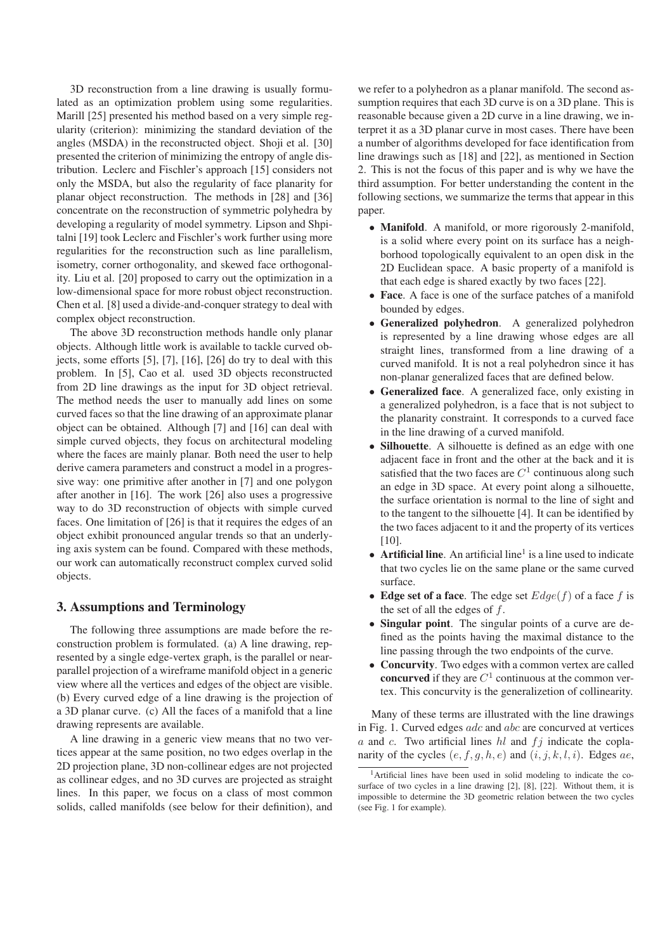3D reconstruction from a line drawing is usually formulated as an optimization problem using some regularities. Marill [25] presented his method based on a very simple regularity (criterion): minimizing the standard deviation of the angles (MSDA) in the reconstructed object. Shoji et al. [30] presented the criterion of minimizing the entropy of angle distribution. Leclerc and Fischler's approach [15] considers not only the MSDA, but also the regularity of face planarity for planar object reconstruction. The methods in [28] and [36] concentrate on the reconstruction of symmetric polyhedra by developing a regularity of model symmetry. Lipson and Shpitalni [19] took Leclerc and Fischler's work further using more regularities for the reconstruction such as line parallelism, isometry, corner orthogonality, and skewed face orthogonality. Liu et al. [20] proposed to carry out the optimization in a low-dimensional space for more robust object reconstruction. Chen et al. [8] used a divide-and-conquer strategy to deal with complex object reconstruction.

The above 3D reconstruction methods handle only planar objects. Although little work is available to tackle curved objects, some efforts [5], [7], [16], [26] do try to deal with this problem. In [5], Cao et al. used 3D objects reconstructed from 2D line drawings as the input for 3D object retrieval. The method needs the user to manually add lines on some curved faces so that the line drawing of an approximate planar object can be obtained. Although [7] and [16] can deal with simple curved objects, they focus on architectural modeling where the faces are mainly planar. Both need the user to help derive camera parameters and construct a model in a progressive way: one primitive after another in [7] and one polygon after another in [16]. The work [26] also uses a progressive way to do 3D reconstruction of objects with simple curved faces. One limitation of [26] is that it requires the edges of an object exhibit pronounced angular trends so that an underlying axis system can be found. Compared with these methods, our work can automatically reconstruct complex curved solid objects.

# **3. Assumptions and Terminology**

The following three assumptions are made before the reconstruction problem is formulated. (a) A line drawing, represented by a single edge-vertex graph, is the parallel or nearparallel projection of a wireframe manifold object in a generic view where all the vertices and edges of the object are visible. (b) Every curved edge of a line drawing is the projection of a 3D planar curve. (c) All the faces of a manifold that a line drawing represents are available.

A line drawing in a generic view means that no two vertices appear at the same position, no two edges overlap in the 2D projection plane, 3D non-collinear edges are not projected as collinear edges, and no 3D curves are projected as straight lines. In this paper, we focus on a class of most common solids, called manifolds (see below for their definition), and

we refer to a polyhedron as a planar manifold. The second assumption requires that each 3D curve is on a 3D plane. This is reasonable because given a 2D curve in a line drawing, we interpret it as a 3D planar curve in most cases. There have been a number of algorithms developed for face identification from line drawings such as [18] and [22], as mentioned in Section 2. This is not the focus of this paper and is why we have the third assumption. For better understanding the content in the following sections, we summarize the terms that appear in this paper.

- **Manifold**. A manifold, or more rigorously 2-manifold, is a solid where every point on its surface has a neighborhood topologically equivalent to an open disk in the 2D Euclidean space. A basic property of a manifold is that each edge is shared exactly by two faces [22].
- **Face**. A face is one of the surface patches of a manifold bounded by edges.
- **Generalized polyhedron**. A generalized polyhedron is represented by a line drawing whose edges are all straight lines, transformed from a line drawing of a curved manifold. It is not a real polyhedron since it has non-planar generalized faces that are defined below.
- **Generalized face**. A generalized face, only existing in a generalized polyhedron, is a face that is not subject to the planarity constraint. It corresponds to a curved face in the line drawing of a curved manifold.
- **Silhouette**. A silhouette is defined as an edge with one adjacent face in front and the other at the back and it is satisfied that the two faces are  $C<sup>1</sup>$  continuous along such an edge in 3D space. At every point along a silhouette, the surface orientation is normal to the line of sight and to the tangent to the silhouette [4]. It can be identified by the two faces adjacent to it and the property of its vertices [10].
- **Artificial line**. An artificial line<sup>1</sup> is a line used to indicate that two cycles lie on the same plane or the same curved surface.
- **Edge set of a face**. The edge set  $Edge(f)$  of a face f is the set of all the edges of  $f$ .
- **Singular point**. The singular points of a curve are defined as the points having the maximal distance to the line passing through the two endpoints of the curve.
- **Concurvity**. Two edges with a common vertex are called **concurved** if they are  $C<sup>1</sup>$  continuous at the common vertex. This concurvity is the generalizetion of collinearity.

Many of these terms are illustrated with the line drawings in Fig. 1. Curved edges adc and abc are concurved at vertices  $a$  and  $c$ . Two artificial lines  $hl$  and  $f_j$  indicate the coplanarity of the cycles  $(e, f, g, h, e)$  and  $(i, j, k, l, i)$ . Edges ae,

<sup>&</sup>lt;sup>1</sup>Artificial lines have been used in solid modeling to indicate the cosurface of two cycles in a line drawing [2], [8], [22]. Without them, it is impossible to determine the 3D geometric relation between the two cycles (see Fig. 1 for example).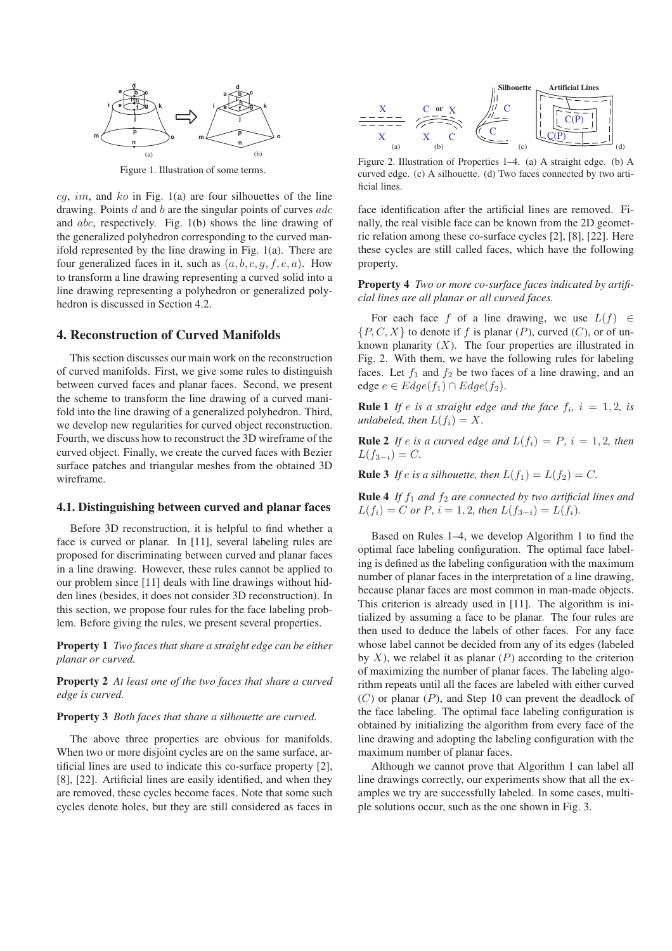

Figure 1. Illustration of some terms.

 $cg, im, and ko$  in Fig. 1(a) are four silhouettes of the line drawing. Points  $d$  and  $b$  are the singular points of curves  $adc$ and abc, respectively. Fig. 1(b) shows the line drawing of the generalized polyhedron corresponding to the curved manifold represented by the line drawing in Fig. 1(a). There are four generalized faces in it, such as  $(a, b, c, g, f, e, a)$ . How to transform a line drawing representing a curved solid into a line drawing representing a polyhedron or generalized polyhedron is discussed in Section 4.2.

## **4. Reconstruction of Curved Manifolds**

This section discusses our main work on the reconstruction of curved manifolds. First, we give some rules to distinguish between curved faces and planar faces. Second, we present the scheme to transform the line drawing of a curved manifold into the line drawing of a generalized polyhedron. Third, we develop new regularities for curved object reconstruction. Fourth, we discuss how to reconstruct the 3D wireframe of the curved object. Finally, we create the curved faces with Bezier surface patches and triangular meshes from the obtained 3D wireframe.

#### **4.1. Distinguishing between curved and planar faces**

Before 3D reconstruction, it is helpful to find whether a face is curved or planar. In [11], several labeling rules are proposed for discriminating between curved and planar faces in a line drawing. However, these rules cannot be applied to our problem since [11] deals with line drawings without hidden lines (besides, it does not consider 3D reconstruction). In this section, we propose four rules for the face labeling problem. Before giving the rules, we present several properties.

**Property 1** *Two faces that share a straight edge can be either planar or curved.*

**Property 2** *At least one of the two faces that share a curved edge is curved.*

### **Property 3** *Both faces that share a silhouette are curved.*

The above three properties are obvious for manifolds. When two or more disjoint cycles are on the same surface, artificial lines are used to indicate this co-surface property [2], [8], [22]. Artificial lines are easily identified, and when they are removed, these cycles become faces. Note that some such cycles denote holes, but they are still considered as faces in



Figure 2. Illustration of Properties 1–4. (a) A straight edge. (b) A curved edge. (c) A silhouette. (d) Two faces connected by two artificial lines.

face identification after the artificial lines are removed. Finally, the real visible face can be known from the 2D geometric relation among these co-surface cycles [2], [8], [22]. Here these cycles are still called faces, which have the following property.

**Property 4** *Two or more co-surface faces indicated by artificial lines are all planar or all curved faces.*

For each face f of a line drawing, we use  $L(f) \in$  $\{P, C, X\}$  to denote if f is planar  $(P)$ , curved  $(C)$ , or of unknown planarity  $(X)$ . The four properties are illustrated in Fig. 2. With them, we have the following rules for labeling faces. Let  $f_1$  and  $f_2$  be two faces of a line drawing, and an edge  $e \in Edge(f_1) \cap Edge(f_2)$ .

**Rule 1** *If e is a straight edge and the face*  $f_i$ *,*  $i = 1, 2$ *, is unlabeled, then*  $L(f_i) = X$ .

**Rule 2** *If e is a curved edge and*  $L(f_i) = P$ *,*  $i = 1, 2$ *, then*  $L(f_{3-i}) = C$ .

**Rule 3** *If e is a silhouette, then*  $L(f_1) = L(f_2) = C$ *.* 

**Rule 4** *If*  $f_1$  *and*  $f_2$  *are connected by two artificial lines and*  $L(f_i) = C$  or P,  $i = 1, 2$ , then  $L(f_{3-i}) = L(f_i)$ .

Based on Rules 1–4, we develop Algorithm 1 to find the optimal face labeling configuration. The optimal face labeling is defined as the labeling configuration with the maximum number of planar faces in the interpretation of a line drawing, because planar faces are most common in man-made objects. This criterion is already used in [11]. The algorithm is initialized by assuming a face to be planar. The four rules are then used to deduce the labels of other faces. For any face whose label cannot be decided from any of its edges (labeled by  $X$ ), we relabel it as planar  $(P)$  according to the criterion of maximizing the number of planar faces. The labeling algorithm repeats until all the faces are labeled with either curved  $(C)$  or planar  $(P)$ , and Step 10 can prevent the deadlock of the face labeling. The optimal face labeling configuration is obtained by initializing the algorithm from every face of the line drawing and adopting the labeling configuration with the maximum number of planar faces.

Although we cannot prove that Algorithm 1 can label all line drawings correctly, our experiments show that all the examples we try are successfully labeled. In some cases, multiple solutions occur, such as the one shown in Fig. 3.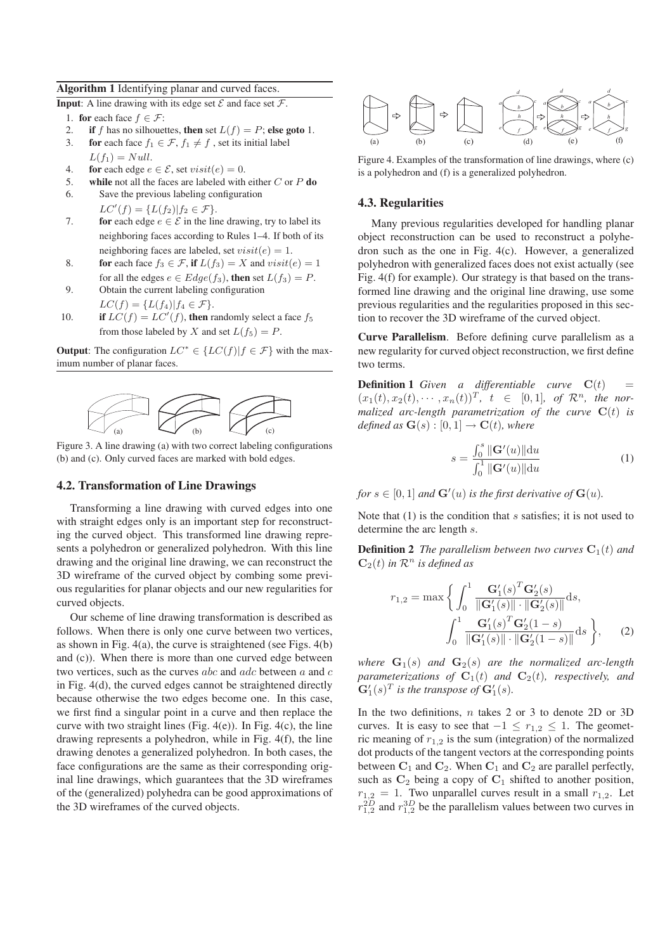#### **Algorithm 1** Identifying planar and curved faces.

**Input:** A line drawing with its edge set  $\mathcal{E}$  and face set  $\mathcal{F}$ .

- 1. **for** each face  $f \in \mathcal{F}$ :
- 2. **if** *f* has no silhouettes, **then** set  $L(f) = P$ ; **else goto** 1.
- 3. **for** each face  $f_1 \in \mathcal{F}$ ,  $f_1 \neq f$ , set its initial label
- $L(f_1) = Null.$
- 4. **for** each edge  $e \in \mathcal{E}$ , set  $visit(e)=0$ .
- 5. **while** not all the faces are labeled with either *C* or *P* **do**
- 6. Save the previous labeling configuration  $LC'(f) = \{L(f_2) | f_2 \in \mathcal{F}\}.$
- 7. **for** each edge  $e \in \mathcal{E}$  in the line drawing, try to label its neighboring faces according to Rules 1–4. If both of its neighboring faces are labeled, set  $visit(e)=1$ .
- 8. **for** each face  $f_3 \in \mathcal{F}$ , if  $L(f_3) = X$  and  $visit(e) = 1$ for all the edges  $e \in Edge(f_3)$ , then set  $L(f_3) = P$ .
- 9. Obtain the current labeling configuration
- $LC(f) = \{L(f_4) | f_4 \in \mathcal{F}\}.$ 10. **if**  $LC(f) = LC'(f)$ , **then** randomly select a face  $f_5$ from those labeled by *X* and set  $L(f_5) = P$ .

**Output**: The configuration  $LC^* \in \{LC(f) | f \in \mathcal{F}\}\$  with the maximum number of planar faces.



Figure 3. A line drawing (a) with two correct labeling configurations (b) and (c). Only curved faces are marked with bold edges.

#### **4.2. Transformation of Line Drawings**

Transforming a line drawing with curved edges into one with straight edges only is an important step for reconstructing the curved object. This transformed line drawing represents a polyhedron or generalized polyhedron. With this line drawing and the original line drawing, we can reconstruct the 3D wireframe of the curved object by combing some previous regularities for planar objects and our new regularities for curved objects.

Our scheme of line drawing transformation is described as follows. When there is only one curve between two vertices, as shown in Fig. 4(a), the curve is straightened (see Figs. 4(b) and (c)). When there is more than one curved edge between two vertices, such as the curves *abc* and *adc* between *a* and *c* in Fig. 4(d), the curved edges cannot be straightened directly because otherwise the two edges become one. In this case, we first find a singular point in a curve and then replace the curve with two straight lines (Fig.  $4(e)$ ). In Fig.  $4(c)$ , the line drawing represents a polyhedron, while in Fig. 4(f), the line drawing denotes a generalized polyhedron. In both cases, the face configurations are the same as their corresponding original line drawings, which guarantees that the 3D wireframes of the (generalized) polyhedra can be good approximations of the 3D wireframes of the curved objects.



Figure 4. Examples of the transformation of line drawings, where (c) is a polyhedron and (f) is a generalized polyhedron.

# **4.3. Regularities**

Many previous regularities developed for handling planar object reconstruction can be used to reconstruct a polyhedron such as the one in Fig. 4(c). However, a generalized polyhedron with generalized faces does not exist actually (see Fig. 4(f) for example). Our strategy is that based on the transformed line drawing and the original line drawing, use some previous regularities and the regularities proposed in this section to recover the 3D wireframe of the curved object.

**Curve Parallelism**. Before defining curve parallelism as a new regularity for curved object reconstruction, we first define two terms.

**Definition 1** *Given a differentiable curve*  $C(t)$  $(x_1(t), x_2(t), \cdots, x_n(t))^T$ ,  $t \in [0, 1]$ , of  $\mathcal{R}^n$ , the nor*malized arc-length parametrization of the curve*  $C(t)$  *is defined as*  $\mathbf{G}(s) : [0, 1] \rightarrow \mathbf{C}(t)$ *, where* 

$$
s = \frac{\int_0^s \|\mathbf{G}'(u)\| \mathrm{d}u}{\int_0^1 \|\mathbf{G}'(u)\| \mathrm{d}u}
$$
(1)

*for*  $s \in [0, 1]$  *and*  $\mathbf{G}'(u)$  *is the first derivative of*  $\mathbf{G}(u)$ *.* 

Note that  $(1)$  is the condition that s satisfies; it is not used to determine the arc length s.

**Definition 2** *The parallelism between two curves*  $C_1(t)$  *and*  $\mathbf{C}_2(t)$  *in*  $\mathcal{R}^n$  *is defined as* 

$$
r_{1,2} = \max \left\{ \int_0^1 \frac{\mathbf{G}'_1(s)^T \mathbf{G}'_2(s)}{\|\mathbf{G}'_1(s)\| \cdot \|\mathbf{G}'_2(s)\|} ds, \int_0^1 \frac{\mathbf{G}'_1(s)^T \mathbf{G}'_2(1-s)}{\|\mathbf{G}'_1(s)\| \cdot \|\mathbf{G}'_2(1-s)\|} ds \right\},
$$
 (2)

*where*  $\mathbf{G}_1(s)$  *and*  $\mathbf{G}_2(s)$  *are the normalized arc-length parameterizations of*  $C_1(t)$  *and*  $C_2(t)$ *, respectively, and*  $\mathbf{G}'_1(s)^T$  *is the transpose of*  $\mathbf{G}'_1(s)$ *.* 

In the two definitions,  $n$  takes 2 or 3 to denote 2D or 3D curves. It is easy to see that  $-1 \le r_{1,2} \le 1$ . The geometric meaning of  $r_{1,2}$  is the sum (integration) of the normalized dot products of the tangent vectors at the corresponding points between  $C_1$  and  $C_2$ . When  $C_1$  and  $C_2$  are parallel perfectly, such as **C**<sup>2</sup> being a copy of **C**<sup>1</sup> shifted to another position,  $r_{1,2} = 1$ . Two unparallel curves result in a small  $r_{1,2}$ . Let  $r_{1,2}^{2D}$  and  $r_{1,2}^{3D}$  be the parallelism values between two curves in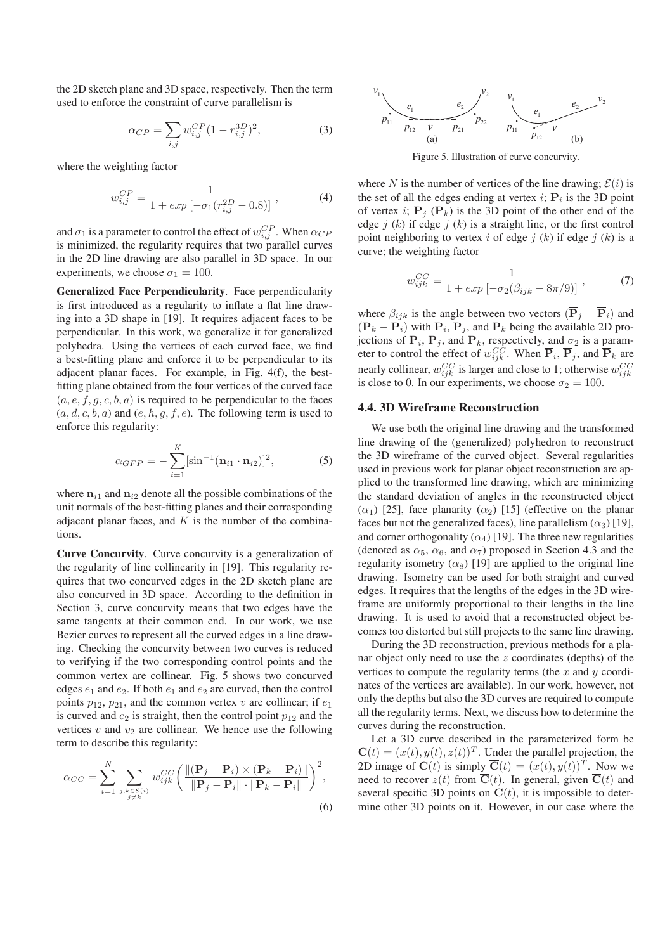the 2D sketch plane and 3D space, respectively. Then the term used to enforce the constraint of curve parallelism is

$$
\alpha_{CP} = \sum_{i,j} w_{i,j}^{CP} (1 - r_{i,j}^{3D})^2,
$$
\n(3)

where the weighting factor

$$
w_{i,j}^{CP} = \frac{1}{1 + exp\left[-\sigma_1(r_{i,j}^{2D} - 0.8)\right]} \,, \tag{4}
$$

and  $\sigma_1$  is a parameter to control the effect of  $w_{i,j}^{CP}$ . When  $\alpha_{CP}$ is minimized, the regularity requires that two parallel curves in the 2D line drawing are also parallel in 3D space. In our experiments, we choose  $\sigma_1 = 100$ .

**Generalized Face Perpendicularity**. Face perpendicularity is first introduced as a regularity to inflate a flat line drawing into a 3D shape in [19]. It requires adjacent faces to be perpendicular. In this work, we generalize it for generalized polyhedra. Using the vertices of each curved face, we find a best-fitting plane and enforce it to be perpendicular to its adjacent planar faces. For example, in Fig. 4(f), the bestfitting plane obtained from the four vertices of the curved face  $(a, e, f, g, c, b, a)$  is required to be perpendicular to the faces  $(a, d, c, b, a)$  and  $(e, h, g, f, e)$ . The following term is used to enforce this regularity:

$$
\alpha_{GFP} = -\sum_{i=1}^{K} [\sin^{-1}(\mathbf{n}_{i1} \cdot \mathbf{n}_{i2})]^2, \tag{5}
$$

where  $n_{i1}$  and  $n_{i2}$  denote all the possible combinations of the unit normals of the best-fitting planes and their corresponding adjacent planar faces, and  $K$  is the number of the combinations.

**Curve Concurvity**. Curve concurvity is a generalization of the regularity of line collinearity in [19]. This regularity requires that two concurved edges in the 2D sketch plane are also concurved in 3D space. According to the definition in Section 3, curve concurvity means that two edges have the same tangents at their common end. In our work, we use Bezier curves to represent all the curved edges in a line drawing. Checking the concurvity between two curves is reduced to verifying if the two corresponding control points and the common vertex are collinear. Fig. 5 shows two concurved edges  $e_1$  and  $e_2$ . If both  $e_1$  and  $e_2$  are curved, then the control points  $p_{12}$ ,  $p_{21}$ , and the common vertex v are collinear; if  $e_1$ is curved and  $e_2$  is straight, then the control point  $p_{12}$  and the vertices  $v$  and  $v_2$  are collinear. We hence use the following term to describe this regularity:

$$
\alpha_{CC} = \sum_{i=1}^{N} \sum_{\substack{j,k \in \mathcal{E}(i) \\ j \neq k}} w_{ijk}^{CC} \left( \frac{\| (\mathbf{P}_j - \mathbf{P}_i) \times (\mathbf{P}_k - \mathbf{P}_i) \|}{\| \mathbf{P}_j - \mathbf{P}_i \| \cdot \| \mathbf{P}_k - \mathbf{P}_i \|} \right)^2,
$$
\n(6)



Figure 5. Illustration of curve concurvity.

where N is the number of vertices of the line drawing;  $\mathcal{E}(i)$  is the set of all the edges ending at vertex  $i$ ;  $P_i$  is the 3D point of vertex i;  $P_i$  ( $P_k$ ) is the 3D point of the other end of the edge j  $(k)$  if edge j  $(k)$  is a straight line, or the first control point neighboring to vertex i of edge j  $(k)$  if edge j  $(k)$  is a curve; the weighting factor

$$
w_{ijk}^{CC} = \frac{1}{1 + exp\left[-\sigma_2(\beta_{ijk} - 8\pi/9)\right]} \,, \tag{7}
$$

where  $\beta_{ijk}$  is the angle between two vectors  $(\overline{P}_j - \overline{P}_i)$  and  $(\overline{P}_k - \overline{P}_i)$  with  $\overline{P}_i$ ,  $\overline{P}_j$ , and  $\overline{P}_k$  being the available 2D projections of  $P_i$ ,  $P_j$ , and  $P_k$ , respectively, and  $\sigma_2$  is a parameter to control the effect of  $w_{ijk}^{CC}$ . When  $\overline{P}_i$ ,  $\overline{P}_j$ , and  $\overline{P}_k$  are nearly collinear,  $w_{ijk}^{CC}$  is larger and close to 1; otherwise  $w_{ijk}^{CC}$ is close to 0. In our experiments, we choose  $\sigma_2 = 100$ .

### **4.4. 3D Wireframe Reconstruction**

We use both the original line drawing and the transformed line drawing of the (generalized) polyhedron to reconstruct the 3D wireframe of the curved object. Several regularities used in previous work for planar object reconstruction are applied to the transformed line drawing, which are minimizing the standard deviation of angles in the reconstructed object  $(\alpha_1)$  [25], face planarity  $(\alpha_2)$  [15] (effective on the planar faces but not the generalized faces), line parallelism  $(\alpha_3)$  [19], and corner orthogonality  $(\alpha_4)$  [19]. The three new regularities (denoted as  $\alpha_5$ ,  $\alpha_6$ , and  $\alpha_7$ ) proposed in Section 4.3 and the regularity isometry  $(\alpha_8)$  [19] are applied to the original line drawing. Isometry can be used for both straight and curved edges. It requires that the lengths of the edges in the 3D wireframe are uniformly proportional to their lengths in the line drawing. It is used to avoid that a reconstructed object becomes too distorted but still projects to the same line drawing.

During the 3D reconstruction, previous methods for a planar object only need to use the  $z$  coordinates (depths) of the vertices to compute the regularity terms (the  $x$  and  $y$  coordinates of the vertices are available). In our work, however, not only the depths but also the 3D curves are required to compute all the regularity terms. Next, we discuss how to determine the curves during the reconstruction.

Let a 3D curve described in the parameterized form be  $\mathbf{C}(t)=(x(t), y(t), z(t))^T$ . Under the parallel projection, the 2D image of  $\mathbf{C}(t)$  is simply  $\overline{\mathbf{C}}(t)=(x(t), y(t))^T$ . Now we need to recover  $z(t)$  from  $\overline{C}(t)$ . In general, given  $\overline{C}(t)$  and several specific 3D points on  $C(t)$ , it is impossible to determine other 3D points on it. However, in our case where the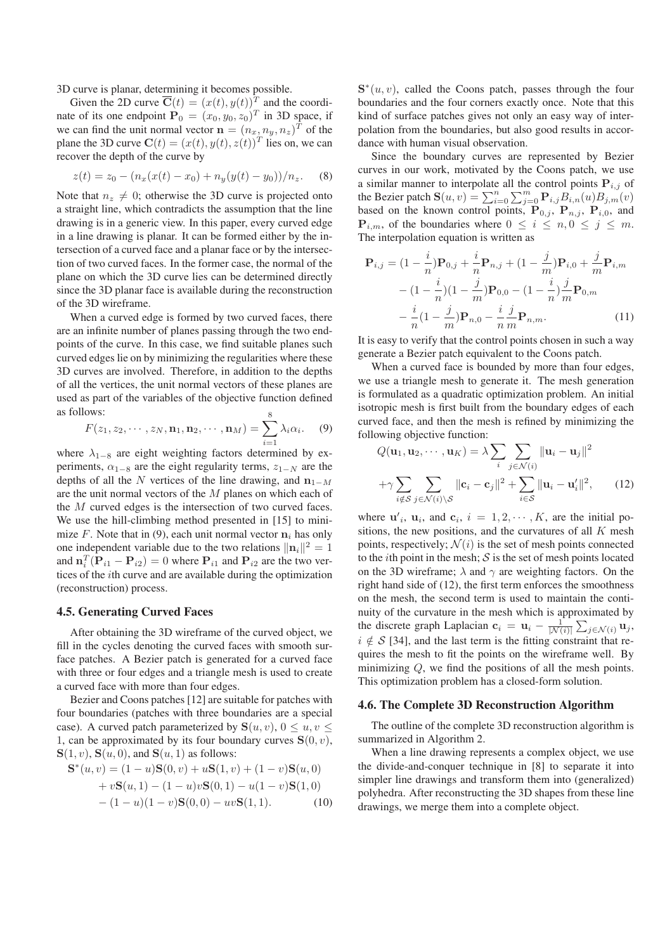3D curve is planar, determining it becomes possible.

Given the 2D curve  $\overline{\mathbf{C}}(t)=(x(t), y(t))^T$  and the coordinate of its one endpoint  $\mathbf{P}_0 = (x_0, y_0, z_0)^T$  in 3D space, if we can find the unit normal vector  $\mathbf{n} = (n_x, n_y, n_z)^T$  of the plane the 3D curve  $\mathbf{C}(t)=(x(t), y(t), z(t))^T$  lies on, we can recover the depth of the curve by

$$
z(t) = z_0 - (n_x(x(t) - x_0) + n_y(y(t) - y_0))/n_z.
$$
 (8)

Note that  $n_z \neq 0$ ; otherwise the 3D curve is projected onto a straight line, which contradicts the assumption that the line drawing is in a generic view. In this paper, every curved edge in a line drawing is planar. It can be formed either by the intersection of a curved face and a planar face or by the intersection of two curved faces. In the former case, the normal of the plane on which the 3D curve lies can be determined directly since the 3D planar face is available during the reconstruction of the 3D wireframe.

When a curved edge is formed by two curved faces, there are an infinite number of planes passing through the two endpoints of the curve. In this case, we find suitable planes such curved edges lie on by minimizing the regularities where these 3D curves are involved. Therefore, in addition to the depths of all the vertices, the unit normal vectors of these planes are used as part of the variables of the objective function defined as follows: 8

$$
F(z_1, z_2, \cdots, z_N, \mathbf{n}_1, \mathbf{n}_2, \cdots, \mathbf{n}_M) = \sum_{i=1}^{S} \lambda_i \alpha_i.
$$
 (9)

where  $\lambda_{1-8}$  are eight weighting factors determined by experiments,  $\alpha_{1-8}$  are the eight regularity terms,  $z_{1-N}$  are the depths of all the N vertices of the line drawing, and  $n_{1-M}$ are the unit normal vectors of the M planes on which each of the M curved edges is the intersection of two curved faces. We use the hill-climbing method presented in [15] to minimize F. Note that in (9), each unit normal vector  $\mathbf{n}_i$  has only one independent variable due to the two relations  $\|\mathbf{n}_i\|^2 = 1$ and  $\mathbf{n}_i^T(\mathbf{P}_{i1} - \mathbf{P}_{i2}) = 0$  where  $\mathbf{P}_{i1}$  and  $\mathbf{P}_{i2}$  are the two vertices of the ith curve and are available during the optimization (reconstruction) process.

## **4.5. Generating Curved Faces**

After obtaining the 3D wireframe of the curved object, we fill in the cycles denoting the curved faces with smooth surface patches. A Bezier patch is generated for a curved face with three or four edges and a triangle mesh is used to create a curved face with more than four edges.

Bezier and Coons patches [12] are suitable for patches with four boundaries (patches with three boundaries are a special case). A curved patch parameterized by  $S(u, v)$ ,  $0 \le u, v \le$ 1, can be approximated by its four boundary curves  $S(0, v)$ ,  $S(1, v)$ ,  $S(u, 0)$ , and  $S(u, 1)$  as follows:

$$
\mathbf{S}^*(u, v) = (1 - u)\mathbf{S}(0, v) + u\mathbf{S}(1, v) + (1 - v)\mathbf{S}(u, 0) + v\mathbf{S}(u, 1) - (1 - u)v\mathbf{S}(0, 1) - u(1 - v)\mathbf{S}(1, 0) - (1 - u)(1 - v)\mathbf{S}(0, 0) - uv\mathbf{S}(1, 1).
$$
 (10)

 $S<sup>*</sup>(u, v)$ , called the Coons patch, passes through the four boundaries and the four corners exactly once. Note that this kind of surface patches gives not only an easy way of interpolation from the boundaries, but also good results in accordance with human visual observation.

Since the boundary curves are represented by Bezier curves in our work, motivated by the Coons patch, we use a similar manner to interpolate all the control points  $P_{i,j}$  of the Bezier patch  $S(u, v) = \sum_{i=0}^{n} \sum_{j=0}^{m} P_{i,j} B_{i,n}(u) B_{j,m}(v)$ based on the known control points,  $\mathbf{P}_{0,j}$ ,  $\mathbf{P}_{n,j}$ ,  $\mathbf{P}_{i,0}$ , and  ${\bf P}_{i,m}$ , of the boundaries where  $0 \leq i \leq n, 0 \leq j \leq m$ . The interpolation equation is written as

$$
\mathbf{P}_{i,j} = (1 - \frac{i}{n})\mathbf{P}_{0,j} + \frac{i}{n}\mathbf{P}_{n,j} + (1 - \frac{j}{m})\mathbf{P}_{i,0} + \frac{j}{m}\mathbf{P}_{i,m}
$$

$$
- (1 - \frac{i}{n})(1 - \frac{j}{m})\mathbf{P}_{0,0} - (1 - \frac{i}{n})\frac{j}{m}\mathbf{P}_{0,m}
$$

$$
- \frac{i}{n}(1 - \frac{j}{m})\mathbf{P}_{n,0} - \frac{i}{n}\frac{j}{m}\mathbf{P}_{n,m}.
$$
(11)

It is easy to verify that the control points chosen in such a way generate a Bezier patch equivalent to the Coons patch.

When a curved face is bounded by more than four edges, we use a triangle mesh to generate it. The mesh generation is formulated as a quadratic optimization problem. An initial isotropic mesh is first built from the boundary edges of each curved face, and then the mesh is refined by minimizing the following objective function:

$$
Q(\mathbf{u}_1, \mathbf{u}_2, \cdots, \mathbf{u}_K) = \lambda \sum_i \sum_{j \in \mathcal{N}(i)} ||\mathbf{u}_i - \mathbf{u}_j||^2
$$

$$
+ \gamma \sum_{i \notin S} \sum_{j \in \mathcal{N}(i) \setminus S} ||\mathbf{c}_i - \mathbf{c}_j||^2 + \sum_{i \in S} ||\mathbf{u}_i - \mathbf{u}'_i||^2, \qquad (12)
$$

where  $\mathbf{u}'_i$ ,  $\mathbf{u}_i$ , and  $\mathbf{c}_i$ ,  $i = 1, 2, \cdots, K$ , are the initial positions, the new positions, and the curvatures of all  $K$  mesh points, respectively;  $\mathcal{N}(i)$  is the set of mesh points connected to the *i*th point in the mesh;  $S$  is the set of mesh points located on the 3D wireframe;  $\lambda$  and  $\gamma$  are weighting factors. On the right hand side of (12), the first term enforces the smoothness on the mesh, the second term is used to maintain the continuity of the curvature in the mesh which is approximated by the discrete graph Laplacian  $\mathbf{c}_i = \mathbf{u}_i - \frac{1}{|\mathcal{N}(i)|} \sum_{j \in \mathcal{N}(i)} \mathbf{u}_j$ ,  $i \notin S$  [34], and the last term is the fitting constraint that requires the mesh to fit the points on the wireframe well. By minimizing  $Q$ , we find the positions of all the mesh points. This optimization problem has a closed-form solution.

#### **4.6. The Complete 3D Reconstruction Algorithm**

The outline of the complete 3D reconstruction algorithm is summarized in Algorithm 2.

When a line drawing represents a complex object, we use the divide-and-conquer technique in [8] to separate it into simpler line drawings and transform them into (generalized) polyhedra. After reconstructing the 3D shapes from these line drawings, we merge them into a complete object.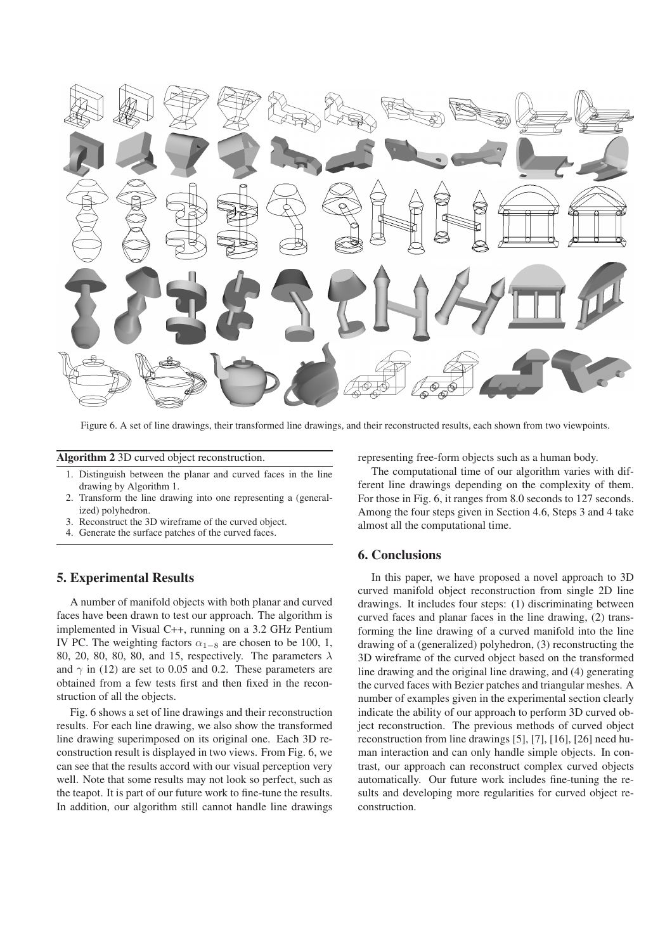

Figure 6. A set of line drawings, their transformed line drawings, and their reconstructed results, each shown from two viewpoints.

### **Algorithm 2** 3D curved object reconstruction.

- 1. Distinguish between the planar and curved faces in the line drawing by Algorithm 1.
- 2. Transform the line drawing into one representing a (generalized) polyhedron.
- 3. Reconstruct the 3D wireframe of the curved object.
- 4. Generate the surface patches of the curved faces.

# **5. Experimental Results**

A number of manifold objects with both planar and curved faces have been drawn to test our approach. The algorithm is implemented in Visual C++, running on a 3.2 GHz Pentium IV PC. The weighting factors  $\alpha_{1-8}$  are chosen to be 100, 1, 80, 20, 80, 80, 80, and 15, respectively. The parameters  $\lambda$ and  $\gamma$  in (12) are set to 0.05 and 0.2. These parameters are obtained from a few tests first and then fixed in the reconstruction of all the objects.

Fig. 6 shows a set of line drawings and their reconstruction results. For each line drawing, we also show the transformed line drawing superimposed on its original one. Each 3D reconstruction result is displayed in two views. From Fig. 6, we can see that the results accord with our visual perception very well. Note that some results may not look so perfect, such as the teapot. It is part of our future work to fine-tune the results. In addition, our algorithm still cannot handle line drawings representing free-form objects such as a human body.

The computational time of our algorithm varies with different line drawings depending on the complexity of them. For those in Fig. 6, it ranges from 8.0 seconds to 127 seconds. Among the four steps given in Section 4.6, Steps 3 and 4 take almost all the computational time.

## **6. Conclusions**

In this paper, we have proposed a novel approach to 3D curved manifold object reconstruction from single 2D line drawings. It includes four steps: (1) discriminating between curved faces and planar faces in the line drawing, (2) transforming the line drawing of a curved manifold into the line drawing of a (generalized) polyhedron, (3) reconstructing the 3D wireframe of the curved object based on the transformed line drawing and the original line drawing, and (4) generating the curved faces with Bezier patches and triangular meshes. A number of examples given in the experimental section clearly indicate the ability of our approach to perform 3D curved object reconstruction. The previous methods of curved object reconstruction from line drawings [5], [7], [16], [26] need human interaction and can only handle simple objects. In contrast, our approach can reconstruct complex curved objects automatically. Our future work includes fine-tuning the results and developing more regularities for curved object reconstruction.